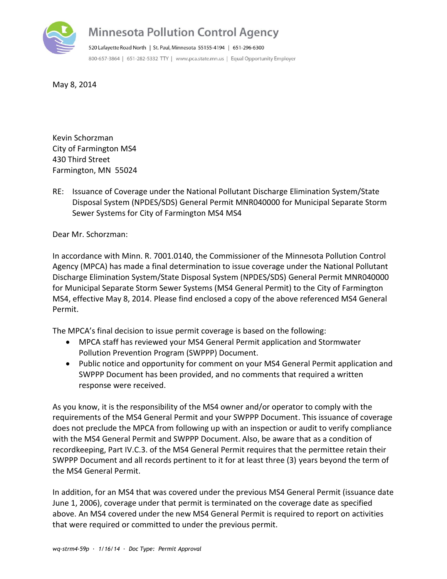

## **Minnesota Pollution Control Agency**

520 Lafayette Road North | St. Paul, Minnesota 55155-4194 | 651-296-6300 800-657-3864 | 651-282-5332 TTY | www.pca.state.mn.us | Equal Opportunity Employer

May 8, 2014

Kevin Schorzman City of Farmington MS4 430 Third Street Farmington, MN 55024

RE: Issuance of Coverage under the National Pollutant Discharge Elimination System/State Disposal System (NPDES/SDS) General Permit MNR040000 for Municipal Separate Storm Sewer Systems for City of Farmington MS4 MS4

Dear Mr. Schorzman:

In accordance with Minn. R. 7001.0140, the Commissioner of the Minnesota Pollution Control Agency (MPCA) has made a final determination to issue coverage under the National Pollutant Discharge Elimination System/State Disposal System (NPDES/SDS) General Permit MNR040000 for Municipal Separate Storm Sewer Systems (MS4 General Permit) to the City of Farmington MS4, effective May 8, 2014. Please find enclosed a copy of the above referenced MS4 General Permit.

The MPCA's final decision to issue permit coverage is based on the following:

- MPCA staff has reviewed your MS4 General Permit application and Stormwater Pollution Prevention Program (SWPPP) Document.
- Public notice and opportunity for comment on your MS4 General Permit application and SWPPP Document has been provided, and no comments that required a written response were received.

As you know, it is the responsibility of the MS4 owner and/or operator to comply with the requirements of the MS4 General Permit and your SWPPP Document. This issuance of coverage does not preclude the MPCA from following up with an inspection or audit to verify compliance with the MS4 General Permit and SWPPP Document. Also, be aware that as a condition of recordkeeping, Part IV.C.3. of the MS4 General Permit requires that the permittee retain their SWPPP Document and all records pertinent to it for at least three (3) years beyond the term of the MS4 General Permit.

In addition, for an MS4 that was covered under the previous MS4 General Permit (issuance date June 1, 2006), coverage under that permit is terminated on the coverage date as specified above. An MS4 covered under the new MS4 General Permit is required to report on activities that were required or committed to under the previous permit.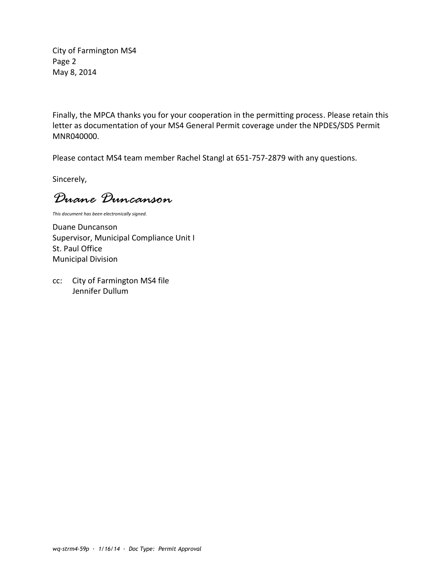City of Farmington MS4 Page 2 May 8, 2014

Finally, the MPCA thanks you for your cooperation in the permitting process. Please retain this letter as documentation of your MS4 General Permit coverage under the NPDES/SDS Permit MNR040000.

Please contact MS4 team member Rachel Stangl at 651-757-2879 with any questions.

Sincerely,

*Duane Duncanson*

*This document has been electronically signed.*

Duane Duncanson Supervisor, Municipal Compliance Unit I St. Paul Office Municipal Division

cc: City of Farmington MS4 file Jennifer Dullum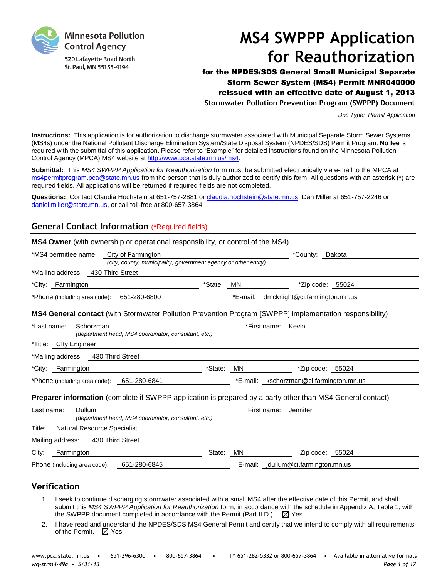

# **MS4 SWPPP Application for Reauthorization**

for the NPDES/SDS General Small Municipal Separate Storm Sewer System (MS4) Permit MNR040000 reissued with an effective date of August 1, 2013 **Stormwater Pollution Prevention Program (SWPPP) Document**

*Doc Type: Permit Application*

**Instructions:** This application is for authorization to discharge stormwater associated with Municipal Separate Storm Sewer Systems (MS4s) under the National Pollutant Discharge Elimination System/State Disposal System (NPDES/SDS) Permit Program. **No fee** is required with the submittal of this application. Please refer to "Example" for detailed instructions found on the Minnesota Pollution Control Agency (MPCA) MS4 website at [http://www.pca.state.mn.us/ms4.](http://www.pca.state.mn.us/ms4)

**Submittal:** This *MS4 SWPPP Application for Reauthorization* form must be submitted electronically via e-mail to the MPCA at [ms4permitprogram.pca@state.mn.us](mailto:ms4permitprogram.pca@state.mn.us) from the person that is duly authorized to certify this form. All questions with an asterisk (\*) are required fields. All applications will be returned if required fields are not completed.

**Questions:** Contact Claudia Hochstein at 651-757-2881 or [claudia.hochstein@state.mn.us,](mailto:claudia.hochstein@state.mn.us) Dan Miller at 651-757-2246 or [daniel.miller@state.mn.us,](mailto:daniel.miller@state.mn.us) or call toll-free at 800-657-3864.

### **General Contact Information** (\*Required fields)

| City of Farmington<br>*MS4 permittee name:                                                                        |            |          | *County: Dakota                |
|-------------------------------------------------------------------------------------------------------------------|------------|----------|--------------------------------|
| (city, county, municipality, government agency or other entity)                                                   |            |          |                                |
| *Mailing address: 430 Third Street                                                                                |            |          |                                |
| *City: Farmington                                                                                                 | *State: MN |          | *Zip code: 55024               |
| *Phone (including area code): 651-280-6800                                                                        |            | *E-mail: | dmcknight@ci.farmington.mn.us  |
| <b>MS4 General contact</b> (with Stormwater Pollution Prevention Program [SWPPP] implementation responsibility)   |            |          |                                |
| Schorzman<br>*Last name:<br>(department head, MS4 coordinator, consultant, etc.)                                  |            |          | *First name: Kevin             |
| *Title: Clty Engineer                                                                                             |            |          |                                |
| *Mailing address: 430 Third Street                                                                                |            |          |                                |
| *City: Farmington                                                                                                 | *State: MN |          | *Zip code: 55024               |
| *Phone (including area code): 651-280-6841                                                                        |            | *E-mail: | kschorzman@ci.farmington.mn.us |
| <b>Preparer information</b> (complete if SWPPP application is prepared by a party other than MS4 General contact) |            |          |                                |
| Dullum<br>Last name:                                                                                              |            |          | First name: Jennifer           |
| (department head, MS4 coordinator, consultant, etc.)                                                              |            |          |                                |
| Natural Resource Specialist<br>Title:                                                                             |            |          |                                |
|                                                                                                                   |            |          |                                |
| Mailing address: 430 Third Street                                                                                 |            |          |                                |
| Farmington<br>City:                                                                                               | State: MN  |          | Zip code: 55024                |

### **Verification**

- 1. I seek to continue discharging stormwater associated with a small MS4 after the effective date of this Permit, and shall submit this *MS4 SWPPP Application for Reauthorization* form, in accordance with the schedule in Appendix A, Table 1, with the SWPPP document completed in accordance with the Permit (Part II.D.).  $\boxtimes$  Yes
- 2. I have read and understand the NPDES/SDS MS4 General Permit and certify that we intend to comply with all requirements of the Permit.  $\boxtimes$  Yes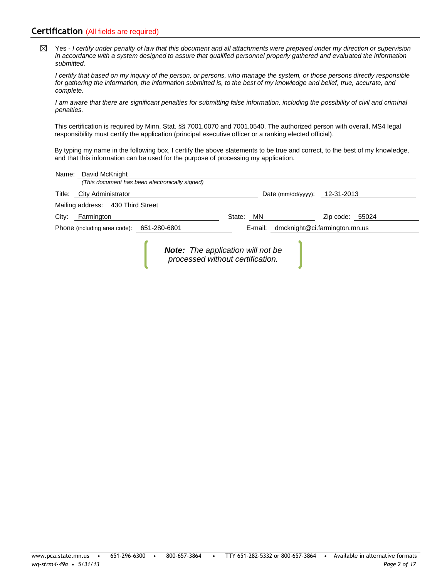### **Certification** (All fields are required)

Yes - *I certify under penalty of law that this document and all attachments were prepared under my direction or supervision*   $\boxtimes$ *in accordance with a system designed to assure that qualified personnel properly gathered and evaluated the information submitted.*

*I certify that based on my inquiry of the person, or persons, who manage the system, or those persons directly responsible for gathering the information, the information submitted is, to the best of my knowledge and belief, true, accurate, and complete.*

*I am aware that there are significant penalties for submitting false information, including the possibility of civil and criminal penalties.*

This certification is required by Minn. Stat. §§ 7001.0070 and 7001.0540. The authorized person with overall, MS4 legal responsibility must certify the application (principal executive officer or a ranking elected official).

By typing my name in the following box, I certify the above statements to be true and correct, to the best of my knowledge, and that this information can be used for the purpose of processing my application.

| Name: David McKnight                      |                                                                              |                                       |                 |  |
|-------------------------------------------|------------------------------------------------------------------------------|---------------------------------------|-----------------|--|
|                                           | (This document has been electronically signed)                               |                                       |                 |  |
| Title: City Administrator                 |                                                                              | Date ( $mm/dd/yyy$ ): 12-31-2013      |                 |  |
| Mailing address: 430 Third Street         |                                                                              |                                       |                 |  |
| City: Farmington                          |                                                                              | State:<br>MN                          | Zip code: 55024 |  |
| Phone (including area code): 651-280-6801 |                                                                              | E-mail: dmcknight@ci.farmington.mn.us |                 |  |
|                                           | <b>Note:</b> The application will not be<br>processed without certification. |                                       |                 |  |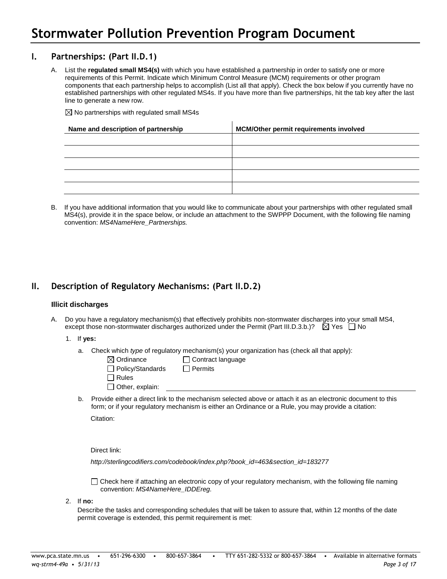### **I. Partnerships: (Part II.D.1)**

A. List the **regulated small MS4(s)** with which you have established a partnership in order to satisfy one or more requirements of this Permit. Indicate which Minimum Control Measure (MCM) requirements or other program components that each partnership helps to accomplish (List all that apply). Check the box below if you currently have no established partnerships with other regulated MS4s. If you have more than five partnerships, hit the tab key after the last line to generate a new row.

 $\boxtimes$  No partnerships with regulated small MS4s

| Name and description of partnership | <b>MCM/Other permit requirements involved</b> |
|-------------------------------------|-----------------------------------------------|
|                                     |                                               |
|                                     |                                               |
|                                     |                                               |
|                                     |                                               |
|                                     |                                               |

B. If you have additional information that you would like to communicate about your partnerships with other regulated small MS4(s), provide it in the space below, or include an attachment to the SWPPP Document, with the following file naming convention: *MS4NameHere\_Partnerships.*

### **II. Description of Regulatory Mechanisms: (Part II.D.2)**

### **Illicit discharges**

A. Do you have a regulatory mechanism(s) that effectively prohibits non-stormwater discharges into your small MS4, except those non-stormwater discharges authorized under the Permit (Part III.D.3.b.)?  $\boxtimes$  Yes  $\Box$  No

### 1. If **yes:**

a. Check which *type* of regulatory mechanism(s) your organization has (check all that apply):

| $\boxtimes$ Ordinance   | $\Box$ Contract language |
|-------------------------|--------------------------|
| $\Box$ Policy/Standards | $\Box$ Permits           |
| $\Box$ Rules            |                          |
| $\Box$ Other, explain:  |                          |
|                         |                          |

b. Provide either a direct link to the mechanism selected above or attach it as an electronic document to this form; or if your regulatory mechanism is either an Ordinance or a Rule, you may provide a citation: Citation:

Direct link:

http://sterlingcodifiers.com/codebook/index.php?book\_id=463&section\_id=183277

Check here if attaching an electronic copy of your regulatory mechanism, with the following file naming convention: *MS4NameHere\_IDDEreg.*

2. If **no:**

Describe the tasks and corresponding schedules that will be taken to assure that, within 12 months of the date permit coverage is extended, this permit requirement is met: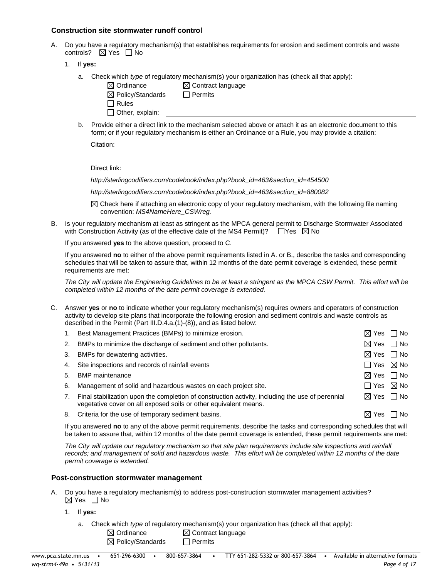### **Construction site stormwater runoff control**

- A. Do you have a regulatory mechanism(s) that establishes requirements for erosion and sediment controls and waste controls?  $\boxtimes$  Yes  $\Box$  No
	- 1. If **yes:**
		- a. Check which *type* of regulatory mechanism(s) your organization has (check all that apply):
			- $\boxtimes$  Ordinance  $\boxtimes$  Contract language  $\boxtimes$  Policy/Standards  $\Box$  Permits  $\Box$  Rules
			- $\Box$  Other, explain:
		- b. Provide either a direct link to the mechanism selected above or attach it as an electronic document to this form; or if your regulatory mechanism is either an Ordinance or a Rule, you may provide a citation:

Citation:

Direct link:

http://sterlingcodifiers.com/codebook/index.php?book\_id=463&section\_id=454500

http://sterlingcodifiers.com/codebook/index.php?book\_id=463&section\_id=880082

 $\boxtimes$  Check here if attaching an electronic copy of your regulatory mechanism, with the following file naming convention: *MS4NameHere\_CSWreg.*

B. Is your regulatory mechanism at least as stringent as the MPCA general permit to Discharge Stormwater Associated with Construction Activity (as of the effective date of the MS4 Permit)?  $\Box$  Yes  $\boxtimes$  No

If you answered **yes** to the above question, proceed to C.

If you answered **no** to either of the above permit requirements listed in A. or B., describe the tasks and corresponding schedules that will be taken to assure that, within 12 months of the date permit coverage is extended, these permit requirements are met:

*The City will update the Engineering Guidelines to be at least a stringent as the MPCA CSW Permit. This effort will be completed within 12 months of the date permit coverage is extended.*

- C. Answer **yes** or **no** to indicate whether your regulatory mechanism(s) requires owners and operators of construction activity to develop site plans that incorporate the following erosion and sediment controls and waste controls as described in the Permit (Part III.D.4.a.(1)-(8)), and as listed below:
	- 1. Best Management Practices (BMPs) to minimize erosion.  $\boxtimes$  Yes  $\Box$  No 2. BMPs to minimize the discharge of sediment and other pollutants.  $\boxtimes$  Yes  $\Box$  No 3. BMPs for dewatering activities.  $\boxtimes$  Yes  $\Box$  No 4. Site inspections and records of rainfall events  $\Box$  Yes  $\boxtimes$  No 5. BMP maintenance  $\boxtimes$  Yes  $\Box$  No 6. Management of solid and hazardous wastes on each project site.  $\Box$  Yes  $\boxtimes$  No 7. Final stabilization upon the completion of construction activity, including the use of perennial vegetative cover on all exposed soils or other equivalent means.  $\boxtimes$  Yes  $\Box$  No
		- 8. Criteria for the use of temporary sediment basins.  $\boxtimes$  Yes  $\Box$  No

If you answered **no** to any of the above permit requirements, describe the tasks and corresponding schedules that will be taken to assure that, within 12 months of the date permit coverage is extended, these permit requirements are met:

*The City will update our regulatory mechanism so that site plan requirements include site inspections and rainfall*  records; and management of solid and hazardous waste. This effort will be completed within 12 months of the date *permit coverage is extended.* 

#### **Post-construction stormwater management**

- A. Do you have a regulatory mechanism(s) to address post-construction stormwater management activities?  $\boxtimes$  Yes  $\Box$  No
	- 1. If **yes:**
		- a. Check which *type* of regulatory mechanism(s) your organization has (check all that apply):
			- $\boxtimes$  Ordinance  $\boxtimes$  Contract language  $\boxtimes$  Policy/Standards  $\Box$  Permits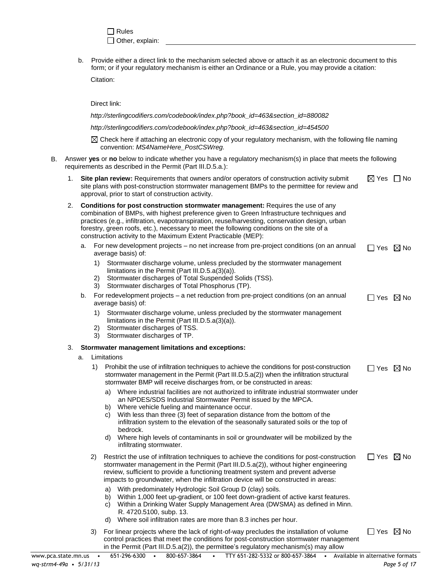$\Box$  Rules Other, explain:

b. Provide either a direct link to the mechanism selected above or attach it as an electronic document to this form; or if your regulatory mechanism is either an Ordinance or a Rule, you may provide a citation:

Citation:

Direct link:

http://sterlingcodifiers.com/codebook/index.php?book\_id=463&section\_id=880082

*http://sterlingcodifiers.com/codebook/index.php?book\_id=463&section\_id=454500* 

 $\boxtimes$  Check here if attaching an electronic copy of your regulatory mechanism, with the following file naming convention: *MS4NameHere\_PostCSWreg.*

- B. Answer **yes** or **no** below to indicate whether you have a regulatory mechanism(s) in place that meets the following requirements as described in the Permit (Part III.D.5.a.):
	- 1. **Site plan review:** Requirements that owners and/or operators of construction activity submit site plans with post-construction stormwater management BMPs to the permittee for review and approval, prior to start of construction activity.  $\boxtimes$  Yes  $\Box$  No
	- 2. **Conditions for post construction stormwater management:** Requires the use of any combination of BMPs, with highest preference given to Green Infrastructure techniques and practices (e.g., infiltration, evapotranspiration, reuse/harvesting, conservation design, urban forestry, green roofs, etc.), necessary to meet the following conditions on the site of a construction activity to the Maximum Extent Practicable (MEP):
		- a. For new development projects no net increase from pre-project conditions (on an annual average basis) of:  $\Box$  Yes  $\boxtimes$  No
			- 1) Stormwater discharge volume, unless precluded by the stormwater management limitations in the Permit (Part III.D.5.a(3)(a)).
			- 2) Stormwater discharges of Total Suspended Solids (TSS).
			- 3) Stormwater discharges of Total Phosphorus (TP).
		- b. For redevelopment projects a net reduction from pre-project conditions (on an annual average basis) of:  $\Box$  Yes  $\boxtimes$  No
			- 1) Stormwater discharge volume, unless precluded by the stormwater management limitations in the Permit (Part III.D.5.a(3)(a)).
			- 2) Stormwater discharges of TSS.
			- 3) Stormwater discharges of TP.

#### 3. **Stormwater management limitations and exceptions:**

a. Limitations

|    | Limitations                                                                                                                                                                                                                                                                                                                                                                                                                                                                                                                           |                           |                  |
|----|---------------------------------------------------------------------------------------------------------------------------------------------------------------------------------------------------------------------------------------------------------------------------------------------------------------------------------------------------------------------------------------------------------------------------------------------------------------------------------------------------------------------------------------|---------------------------|------------------|
| 1) | Prohibit the use of infiltration techniques to achieve the conditions for post-construction<br>stormwater management in the Permit (Part III.D.5.a(2)) when the infiltration structural<br>stormwater BMP will receive discharges from, or be constructed in areas:                                                                                                                                                                                                                                                                   | $\Box$ Yes $\boxtimes$ No |                  |
|    | Where industrial facilities are not authorized to infiltrate industrial stormwater under<br>a)<br>an NPDES/SDS Industrial Stormwater Permit issued by the MPCA.<br>Where vehicle fueling and maintenance occur.<br>b)<br>With less than three (3) feet of separation distance from the bottom of the<br>C)<br>infiltration system to the elevation of the seasonally saturated soils or the top of<br>bedrock.<br>Where high levels of contaminants in soil or groundwater will be mobilized by the<br>d)<br>infiltrating stormwater. |                           |                  |
| 2) | Restrict the use of infiltration techniques to achieve the conditions for post-construction<br>stormwater management in the Permit (Part III.D.5.a(2)), without higher engineering<br>review, sufficient to provide a functioning treatment system and prevent adverse<br>impacts to groundwater, when the infiltration device will be constructed in areas:                                                                                                                                                                          | Yes                       | $\boxtimes$ No   |
|    | With predominately Hydrologic Soil Group D (clay) soils.<br>a)<br>Within 1,000 feet up-gradient, or 100 feet down-gradient of active karst features.<br>b)<br>Within a Drinking Water Supply Management Area (DWSMA) as defined in Minn.<br>C)<br>R. 4720.5100, subp. 13.<br>Where soil infiltration rates are more than 8.3 inches per hour.<br>d)                                                                                                                                                                                   |                           |                  |
| 3) | For linear projects where the lack of right-of-way precludes the installation of volume<br>control practices that meet the conditions for post-construction stormwater management                                                                                                                                                                                                                                                                                                                                                     | Yes                       | $\bowtie$<br>No. |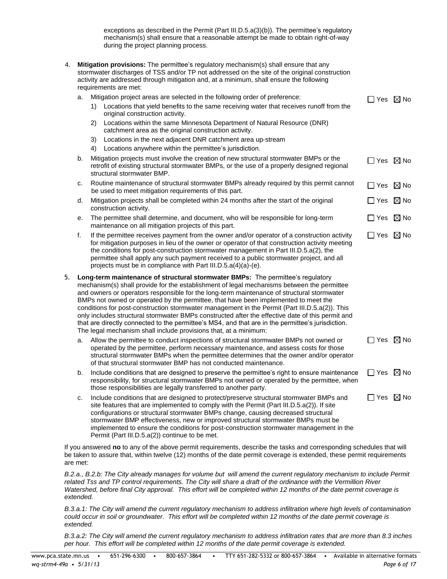exceptions as described in the Permit (Part III.D.5.a(3)(b)). The permittee's regulatory mechanism(s) shall ensure that a reasonable attempt be made to obtain right-of-way during the project planning process.

| 4. |    |          | <b>Mitigation provisions:</b> The permittee's regulatory mechanism(s) shall ensure that any<br>stormwater discharges of TSS and/or TP not addressed on the site of the original construction<br>activity are addressed through mitigation and, at a minimum, shall ensure the following<br>requirements are met:                                                                                                                                                                                                                                                                                                                                                                                                                                  |                           |  |
|----|----|----------|---------------------------------------------------------------------------------------------------------------------------------------------------------------------------------------------------------------------------------------------------------------------------------------------------------------------------------------------------------------------------------------------------------------------------------------------------------------------------------------------------------------------------------------------------------------------------------------------------------------------------------------------------------------------------------------------------------------------------------------------------|---------------------------|--|
|    | a. | 1)<br>2) | Mitigation project areas are selected in the following order of preference:<br>Locations that yield benefits to the same receiving water that receives runoff from the<br>original construction activity.<br>Locations within the same Minnesota Department of Natural Resource (DNR)<br>catchment area as the original construction activity.                                                                                                                                                                                                                                                                                                                                                                                                    | $\Box$ Yes $\boxtimes$ No |  |
|    |    | 3)<br>4) | Locations in the next adjacent DNR catchment area up-stream<br>Locations anywhere within the permittee's jurisdiction.                                                                                                                                                                                                                                                                                                                                                                                                                                                                                                                                                                                                                            |                           |  |
|    | b. |          | Mitigation projects must involve the creation of new structural stormwater BMPs or the<br>retrofit of existing structural stormwater BMPs, or the use of a properly designed regional<br>structural stormwater BMP.                                                                                                                                                                                                                                                                                                                                                                                                                                                                                                                               | $\Box$ Yes $\boxtimes$ No |  |
|    | c. |          | Routine maintenance of structural stormwater BMPs already required by this permit cannot<br>be used to meet mitigation requirements of this part.                                                                                                                                                                                                                                                                                                                                                                                                                                                                                                                                                                                                 | $\Box$ Yes $\boxtimes$ No |  |
|    | d. |          | Mitigation projects shall be completed within 24 months after the start of the original<br>construction activity.                                                                                                                                                                                                                                                                                                                                                                                                                                                                                                                                                                                                                                 | $\Box$ Yes $\boxtimes$ No |  |
|    | е. |          | The permittee shall determine, and document, who will be responsible for long-term<br>maintenance on all mitigation projects of this part.                                                                                                                                                                                                                                                                                                                                                                                                                                                                                                                                                                                                        | $\Box$ Yes $\boxtimes$ No |  |
|    | f. |          | If the permittee receives payment from the owner and/or operator of a construction activity<br>for mitigation purposes in lieu of the owner or operator of that construction activity meeting<br>the conditions for post-construction stormwater management in Part III.D.5.a(2), the<br>permittee shall apply any such payment received to a public stormwater project, and all<br>projects must be in compliance with Part III.D.5. $a(4)(a)-(e)$ .                                                                                                                                                                                                                                                                                             | $\Box$ Yes $\boxtimes$ No |  |
| 5. |    |          | Long-term maintenance of structural stormwater BMPs: The permittee's regulatory<br>mechanism(s) shall provide for the establishment of legal mechanisms between the permittee<br>and owners or operators responsible for the long-term maintenance of structural stormwater<br>BMPs not owned or operated by the permittee, that have been implemented to meet the<br>conditions for post-construction stormwater management in the Permit (Part III.D.5.a(2)). This<br>only includes structural stormwater BMPs constructed after the effective date of this permit and<br>that are directly connected to the permittee's MS4, and that are in the permittee's jurisdiction.<br>The legal mechanism shall include provisions that, at a minimum: |                           |  |
|    | a. |          | Allow the permittee to conduct inspections of structural stormwater BMPs not owned or<br>operated by the permittee, perform necessary maintenance, and assess costs for those<br>structural stormwater BMPs when the permittee determines that the owner and/or operator<br>of that structural stormwater BMP has not conducted maintenance.                                                                                                                                                                                                                                                                                                                                                                                                      | $\Box$ Yes $\boxtimes$ No |  |
|    | b. |          | Include conditions that are designed to preserve the permittee's right to ensure maintenance<br>responsibility, for structural stormwater BMPs not owned or operated by the permittee, when<br>those responsibilities are legally transferred to another party.                                                                                                                                                                                                                                                                                                                                                                                                                                                                                   | $\Box$ Yes $\boxtimes$ No |  |
|    | c. |          | Include conditions that are designed to protect/preserve structural stormwater BMPs and<br>site features that are implemented to comply with the Permit (Part III.D.5.a(2)). If site<br>configurations or structural stormwater BMPs change, causing decreased structural<br>stormwater BMP effectiveness, new or improved structural stormwater BMPs must be<br>implemented to ensure the conditions for post-construction stormwater management in the<br>Permit (Part III.D.5.a(2)) continue to be met.                                                                                                                                                                                                                                        | $\Box$ Yes $\boxtimes$ No |  |

If you answered **no** to any of the above permit requirements, describe the tasks and corresponding schedules that will be taken to assure that, within twelve (12) months of the date permit coverage is extended, these permit requirements are met:

*B.2.a., B.2.b: The City already manages for volume but will amend the current regulatory mechanism to include Permit related Tss and TP control requirements. The City will share a draft of the ordinance with the Vermillion River Watershed, before final City approval. This effort will be completed within 12 months of the date permit coverage is extended.* 

*B.3.a.1: The City will amend the current regulatory mechanism to address infiltration where high levels of contamination could occur in soil or groundwater. This effort will be completed within 12 months of the date permit coverage is extended.* 

*B.3.a.2: The City will amend the current regulatory mechanism to address infiltration rates that are more than 8.3 inches per hour. This effort will be completed within 12 months of the date permit coverage is extended.*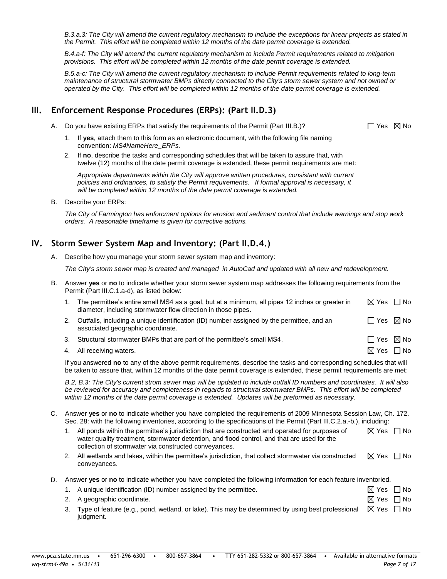*B.3.a.3: The City will amend the current regulatory mechansim to include the exceptions for linear projects as stated in the Permit. This effort will be completed within 12 months of the date permit coverage is extended.* 

*B.4.a-f: The City will amend the current regulatory mechanism to include Permit requirements related to mitigation provisions. This effort will be completed within 12 months of the date permit coverage is extended.* 

*B.5.a-c: The City will amend the current regulatory mechanism to include Permit requirements related to long-term maintenance of structural stormwater BMPs directly connected to the City's storm sewer system and not owned or operated by the City. This effort will be completed within 12 months of the date permit coverage is extended.* 

### **III. Enforcement Response Procedures (ERPs): (Part II.D.3)**

- A. Do you have existing ERPs that satisfy the requirements of the Permit (Part III.B.)?  $\square$  Yes  $\boxtimes$  No
	- 1. If **yes**, attach them to this form as an electronic document, with the following file naming convention: *MS4NameHere\_ERPs.*
	- 2. If **no**, describe the tasks and corresponding schedules that will be taken to assure that, with twelve (12) months of the date permit coverage is extended, these permit requirements are met:

*Appropriate departments within the City will approve written procedures, consistant with current policies and ordinances, to satisfy the Permit requirements. If formal approval is necessary, it will be completed within 12 months of the date permit coverage is extended.* 

B. Describe your ERPs:

*The City of Farmington has enforcment options for erosion and sediment control that include warnings and stop work orders. A reasonable timeframe is given for corrective actions.*

### **IV. Storm Sewer System Map and Inventory: (Part II.D.4.)**

A. Describe how you manage your storm sewer system map and inventory:

*The CIty's storm sewer map is created and managed in AutoCad and updated with all new and redevelopment.*

B. Answer **yes** or **no** to indicate whether your storm sewer system map addresses the following requirements from the Permit (Part III.C.1.a-d), as listed below:

| The permittee's entire small MS4 as a goal, but at a minimum, all pipes 12 inches or greater in<br>diameter, including stormwater flow direction in those pipes. | $\boxtimes$ Yes $\Box$ No |  |
|------------------------------------------------------------------------------------------------------------------------------------------------------------------|---------------------------|--|
| 2. Outfalls, including a unique identification (ID) number assigned by the permittee, and an<br>associated geographic coordinate.                                | $\Box$ Yes $\boxtimes$ No |  |

- 3. Structural stormwater BMPs that are part of the permittee's small MS4.  $\square$  Yes  $\boxtimes$  No
- 4. All receiving waters.  $\Box$  No  $\Box$  No  $\Box$  No  $\Box$  No  $\Box$  No  $\Box$  No  $\Box$  No  $\Box$  No  $\Box$  No  $\Box$  No  $\Box$  No  $\Box$  No  $\Box$  No  $\Box$  No  $\Box$  No  $\Box$  No  $\Box$  No  $\Box$  No  $\Box$  No  $\Box$  No  $\Box$  No  $\Box$  No  $\Box$  No  $\Box$  No  $\Box$

2. A geographic coordinate.

If you answered **no** to any of the above permit requirements, describe the tasks and corresponding schedules that will be taken to assure that, within 12 months of the date permit coverage is extended, these permit requirements are met:

*B.2, B.3: The City's current strom sewer map will be updated to include outfall ID numbers and coordinates. It will also be reviewed for accuracy and completeness in regards to structural stormwater BMPs. This effort will be completed within 12 months of the date permit coverage is extended. Updates will be preformed as necessary.* 

- C. Answer **yes** or **no** to indicate whether you have completed the requirements of 2009 Minnesota Session Law, Ch. 172. Sec. 28: with the following inventories, according to the specifications of the Permit (Part III.C.2.a.-b.), including:
	- 1. All ponds within the permittee's jurisdiction that are constructed and operated for purposes of water quality treatment, stormwater detention, and flood control, and that are used for the collection of stormwater via constructed conveyances.  $\boxtimes$  Yes  $\Box$  No
	- 2. All wetlands and lakes, within the permittee's jurisdiction, that collect stormwater via constructed conveyances.  $\boxtimes$  Yes  $\Box$  No
- D. Answer **yes** or **no** to indicate whether you have completed the following information for each feature inventoried.

|  |  | A unique identification (ID) number assigned by the permittee. |
|--|--|----------------------------------------------------------------|
|--|--|----------------------------------------------------------------|

| $\boxtimes$ Yes $\Box$ No                        |  |
|--------------------------------------------------|--|
| $\boxtimes$ Yes $\Box$ No                        |  |
| $\nabla$ V <sub>22</sub> $\nabla$ N <sub>2</sub> |  |

3. Type of feature (e.g., pond, wetland, or lake). This may be determined by using best professional  $\;\;\boxtimes\;$  Yes  $\;\;\Box$  No judgment.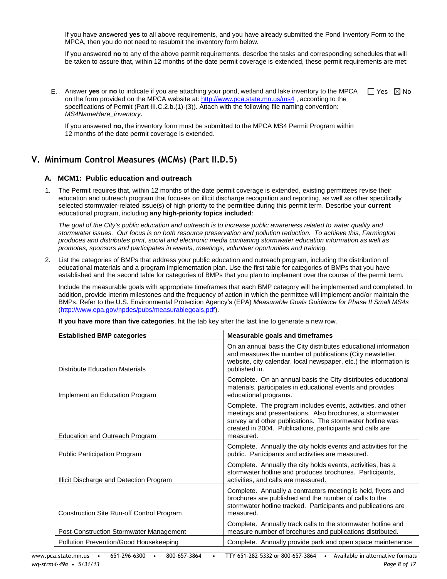If you have answered **yes** to all above requirements, and you have already submitted the Pond Inventory Form to the MPCA, then you do not need to resubmit the inventory form below.

If you answered **no** to any of the above permit requirements, describe the tasks and corresponding schedules that will be taken to assure that, within 12 months of the date permit coverage is extended, these permit requirements are met:

E. Answer yes or no to indicate if you are attaching your pond, wetland and lake inventory to the MPCA  $\Box$  Yes  $\boxtimes$  No on the form provided on the MPCA website at[: http://www.pca.state.mn.us/ms4](http://www.pca.state.mn.us/ms4), according to the specifications of Permit (Part III.C.2.b.(1)-(3)). Attach with the following file naming convention: *MS4NameHere\_inventory*.

If you answered **no,** the inventory form must be submitted to the MPCA MS4 Permit Program within 12 months of the date permit coverage is extended.

### **V. Minimum Control Measures (MCMs) (Part II.D.5)**

### **A. MCM1: Public education and outreach**

1. The Permit requires that, within 12 months of the date permit coverage is extended, existing permittees revise their education and outreach program that focuses on illicit discharge recognition and reporting, as well as other specifically selected stormwater-related issue(s) of high priority to the permittee during this permit term. Describe your **current** educational program, including **any high-priority topics included**:

*The goal of the City's public education and outreach is to increase public awareness related to water quality and stormwater issues. Our focus is on both resource preservation and pollution reduction. To achieve this, Farmington produces and distributes print, social and electronic media contianing stormwater education information as well as promotes, sponsors and participates in events, meetings, volunteer oportunities and training.*

2. List the categories of BMPs that address your public education and outreach program, including the distribution of educational materials and a program implementation plan. Use the first table for categories of BMPs that you have established and the second table for categories of BMPs that you plan to implement over the course of the permit term.

Include the measurable goals with appropriate timeframes that each BMP category will be implemented and completed. In addition, provide interim milestones and the frequency of action in which the permittee will implement and/or maintain the BMPs. Refer to the U.S. Environmental Protection Agency's (EPA) *Measurable Goals Guidance for Phase II Small MS4s* [\(http://www.epa.gov/npdes/pubs/measurablegoals.pdf\)](http://www.epa.gov/npdes/pubs/measurablegoals.pdf).

**If you have more than five categories**, hit the tab key after the last line to generate a new row.

| <b>Established BMP categories</b>              | <b>Measurable goals and timeframes</b>                                                                                                                                                                                                                          |
|------------------------------------------------|-----------------------------------------------------------------------------------------------------------------------------------------------------------------------------------------------------------------------------------------------------------------|
| <b>Distribute Education Materials</b>          | On an annual basis the City distributes educational information<br>and measures the number of publications (City newsletter,<br>website, city calendar, local newspaper, etc.) the information is<br>published in.                                              |
| Implement an Education Program                 | Complete. On an annual basis the City distributes educational<br>materials, participates in educational events and provides<br>educational programs.                                                                                                            |
| <b>Education and Outreach Program</b>          | Complete. The program includes events, activities, and other<br>meetings and presentations. Also brochures, a stormwater<br>survey and other publications. The stormwater hotline was<br>created in 2004. Publications, participants and calls are<br>measured. |
| <b>Public Participation Program</b>            | Complete. Annually the city holds events and activities for the<br>public. Participants and activities are measured.                                                                                                                                            |
| Illicit Discharge and Detection Program        | Complete. Annually the city holds events, activities, has a<br>stormwater hotline and produces brochures. Participants,<br>activities, and calls are measured.                                                                                                  |
| Construction Site Run-off Control Program      | Complete. Annually a contractors meeting is held, flyers and<br>brochures are published and the number of calls to the<br>stormwater hotline tracked. Participants and publications are<br>measured.                                                            |
| <b>Post-Construction Stormwater Management</b> | Complete. Annually track calls to the stormwater hotline and<br>measure number of brochures and publications distributed.                                                                                                                                       |
| Pollution Prevention/Good Housekeeping         | Complete. Annually provide park and open space maintenance                                                                                                                                                                                                      |
|                                                |                                                                                                                                                                                                                                                                 |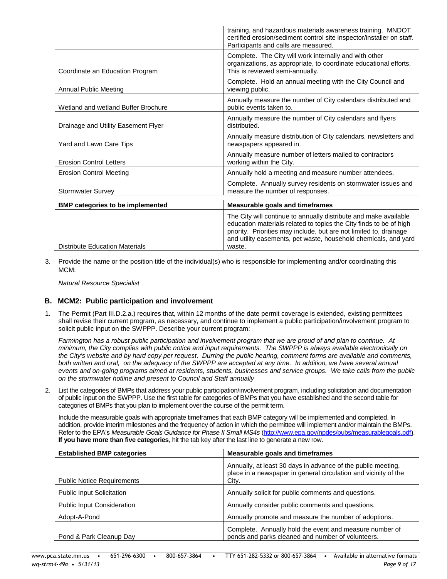|                                         | training, and hazardous materials awareness training. MNDOT<br>certified erosion/sediment control site inspector/installer on staff.<br>Participants and calls are measured.                                                                                                              |
|-----------------------------------------|-------------------------------------------------------------------------------------------------------------------------------------------------------------------------------------------------------------------------------------------------------------------------------------------|
| Coordinate an Education Program         | Complete. The City will work internally and with other<br>organizations, as appropriate, to coordinate educational efforts.<br>This is reviewed semi-annually.                                                                                                                            |
| Annual Public Meeting                   | Complete. Hold an annual meeting with the City Council and<br>viewing public.                                                                                                                                                                                                             |
| Wetland and wetland Buffer Brochure     | Annually measure the number of City calendars distributed and<br>public events taken to.                                                                                                                                                                                                  |
| Drainage and Utility Easement Flyer     | Annually measure the number of City calendars and flyers<br>distributed.                                                                                                                                                                                                                  |
| Yard and Lawn Care Tips                 | Annually measure distribution of City calendars, newsletters and<br>newspapers appeared in.                                                                                                                                                                                               |
| <b>Erosion Control Letters</b>          | Annually measure number of letters mailed to contractors<br>working within the City.                                                                                                                                                                                                      |
| <b>Erosion Control Meeting</b>          | Annually hold a meeting and measure number attendees.                                                                                                                                                                                                                                     |
| <b>Stormwater Survey</b>                | Complete. Annually survey residents on stormwater issues and<br>measure the number of responses.                                                                                                                                                                                          |
| <b>BMP categories to be implemented</b> | <b>Measurable goals and timeframes</b>                                                                                                                                                                                                                                                    |
| <b>Distribute Education Materials</b>   | The City will continue to annually distribute and make available<br>education materials related to topics the City finds to be of high<br>priority. Priorities may include, but are not limited to, drainage<br>and utility easements, pet waste, household chemicals, and yard<br>waste. |

3. Provide the name or the position title of the individual(s) who is responsible for implementing and/or coordinating this MCM:

*Natural Resource Specialist*

### **B. MCM2: Public participation and involvement**

1. The Permit (Part III.D.2.a.) requires that, within 12 months of the date permit coverage is extended, existing permittees shall revise their current program, as necessary, and continue to implement a public participation/involvement program to solicit public input on the SWPPP. Describe your current program:

*Farmington has a robust public participation and involvement program that we are proud of and plan to continue. At minimum, the City complies with public notice and input requirements. The SWPPP is always available electronically on the City's website and by hard copy per request. Durring the public hearing, comment forms are available and comments,*  both written and oral, on the adequacy of the SWPPP are accepted at any time. In addition, we have several annual *events and on-going programs aimed at residents, students, businesses and service groups. We take calls from the public on the stormwater hotline and present to Council and Staff annually* 

2. List the categories of BMPs that address your public participation/involvement program, including solicitation and documentation of public input on the SWPPP. Use the first table for categories of BMPs that you have established and the second table for categories of BMPs that you plan to implement over the course of the permit term.

Include the measurable goals with appropriate timeframes that each BMP category will be implemented and completed. In addition, provide interim milestones and the frequency of action in which the permittee will implement and/or maintain the BMPs. Refer to the EPA's *Measurable Goals Guidance for Phase II Small MS4s* [\(http://www.epa.gov/npdes/pubs/measurablegoals.pdf\)](http://www.epa.gov/npdes/pubs/measurablegoals.pdf). **If you have more than five categories**, hit the tab key after the last line to generate a new row.

| <b>Established BMP categories</b> | Measurable goals and timeframes                                                                                                          |
|-----------------------------------|------------------------------------------------------------------------------------------------------------------------------------------|
| <b>Public Notice Requirements</b> | Annually, at least 30 days in advance of the public meeting,<br>place in a newspaper in general circulation and vicinity of the<br>City. |
| <b>Public Input Solicitation</b>  | Annually solicit for public comments and questions.                                                                                      |
| <b>Public Input Consideration</b> | Annually consider public comments and questions.                                                                                         |
| Adopt-A-Pond                      | Annually promote and measure the number of adoptions.                                                                                    |
| Pond & Park Cleanup Day           | Complete. Annually hold the event and measure number of<br>ponds and parks cleaned and number of volunteers.                             |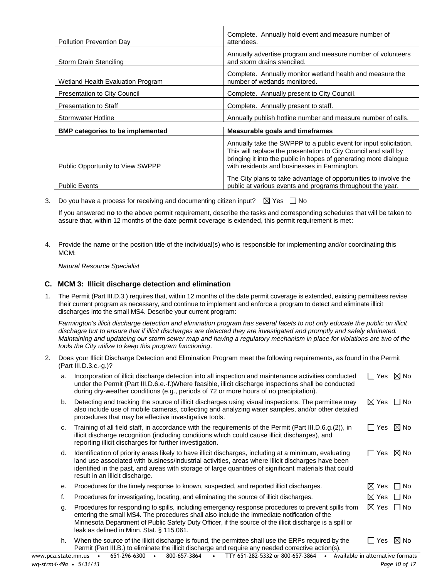| Pollution Prevention Day                | Complete. Annually hold event and measure number of<br>attendees.                                                                                                                                                                                        |
|-----------------------------------------|----------------------------------------------------------------------------------------------------------------------------------------------------------------------------------------------------------------------------------------------------------|
| Storm Drain Stenciling                  | Annually advertise program and measure number of volunteers<br>and storm drains stenciled.                                                                                                                                                               |
| Wetland Health Evaluation Program       | Complete. Annually monitor wetland health and measure the<br>number of wetlands monitored.                                                                                                                                                               |
| <b>Presentation to City Council</b>     | Complete. Annually present to City Council.                                                                                                                                                                                                              |
| <b>Presentation to Staff</b>            | Complete. Annually present to staff.                                                                                                                                                                                                                     |
| <b>Stormwater Hotline</b>               | Annually publish hotline number and measure number of calls.                                                                                                                                                                                             |
| <b>BMP</b> categories to be implemented | <b>Measurable goals and timeframes</b>                                                                                                                                                                                                                   |
| <b>Public Opportunity to View SWPPP</b> | Annually take the SWPPP to a public event for input solicitation.<br>This will replace the presentation to City Council and staff by<br>bringing it into the public in hopes of generating more dialogue<br>with residents and businesses in Farmington. |
| <b>Public Events</b>                    | The City plans to take advantage of opportunities to involve the<br>public at various events and programs throughout the year.                                                                                                                           |

 $\mathbf{I}$ 

3. Do you have a process for receiving and documenting citizen input?  $\boxtimes$  Yes  $\Box$  No

If you answered **no** to the above permit requirement, describe the tasks and corresponding schedules that will be taken to assure that, within 12 months of the date permit coverage is extended, this permit requirement is met:

4. Provide the name or the position title of the individual(s) who is responsible for implementing and/or coordinating this MCM:

*Natural Resource Specialist*

### **C. MCM 3: Illicit discharge detection and elimination**

1. The Permit (Part III.D.3.) requires that, within 12 months of the date permit coverage is extended, existing permittees revise their current program as necessary, and continue to implement and enforce a program to detect and eliminate illicit discharges into the small MS4. Describe your current program:

*Farmington's illicit discharge detection and elimination program has several facets to not only educate the public on illicit dischagre but to ensure that if illicit discharges are detected they are investigated and promptly and safely elminated. Maintaining and updateing our storm sewer map and having a regulatory mechanism in place for violations are two of the tools the City utilize to keep this program functioning.*

2. Does your Illicit Discharge Detection and Elimination Program meet the following requirements, as found in the Permit (Part III.D.3.c.-g.)?

| a. | Incorporation of illicit discharge detection into all inspection and maintenance activities conducted<br>under the Permit (Part III.D.6.e.-f.)Where feasible, illicit discharge inspections shall be conducted<br>during dry-weather conditions (e.g., periods of 72 or more hours of no precipitation).                                                    | l Yes                     | $\boxtimes$ No |
|----|-------------------------------------------------------------------------------------------------------------------------------------------------------------------------------------------------------------------------------------------------------------------------------------------------------------------------------------------------------------|---------------------------|----------------|
| b. | Detecting and tracking the source of illicit discharges using visual inspections. The permittee may<br>also include use of mobile cameras, collecting and analyzing water samples, and/or other detailed<br>procedures that may be effective investigative tools.                                                                                           | $\boxtimes$ Yes           | No<br>$\perp$  |
| C. | Training of all field staff, in accordance with the requirements of the Permit (Part III.D.6.g.(2)), in<br>illicit discharge recognition (including conditions which could cause illicit discharges), and<br>reporting illicit discharges for further investigation.                                                                                        | $\Box$ Yes $\boxtimes$ No |                |
| d. | Identification of priority areas likely to have illicit discharges, including at a minimum, evaluating<br>land use associated with business/industrial activities, areas where illicit discharges have been<br>identified in the past, and areas with storage of large quantities of significant materials that could<br>result in an illicit discharge.    | $\Box$ Yes $\boxtimes$ No |                |
| е. | Procedures for the timely response to known, suspected, and reported illicit discharges.                                                                                                                                                                                                                                                                    | $\boxtimes$ Yes $\Box$ No |                |
| f. | Procedures for investigating, locating, and eliminating the source of illicit discharges.                                                                                                                                                                                                                                                                   | $\boxtimes$ Yes           | $\Box$ No      |
| g. | Procedures for responding to spills, including emergency response procedures to prevent spills from<br>entering the small MS4. The procedures shall also include the immediate notification of the<br>Minnesota Department of Public Safety Duty Officer, if the source of the illicit discharge is a spill or<br>leak as defined in Minn. Stat. § 115.061. | $\boxtimes$ Yes           | $\Box$ No      |
| h. | When the source of the illicit discharge is found, the permittee shall use the ERPs required by the<br>Permit (Part III.B.) to eliminate the illicit discharge and require any needed corrective action(s).                                                                                                                                                 | Yes                       | $\boxtimes$ No |

[www.pca.state.mn.us](http://www.pca.state.mn.us/) • 651-296-6300 • 800-657-3864 • TTY 651-282-5332 or 800-657-3864 • Available in alternative formats *wq-strm4-49a • 5/31/13 Page 10 of 17*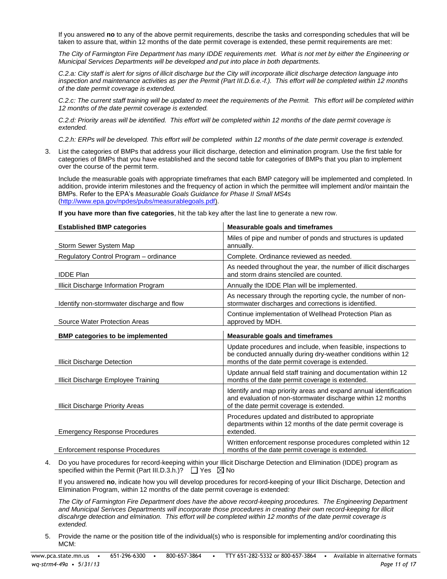If you answered **no** to any of the above permit requirements, describe the tasks and corresponding schedules that will be taken to assure that, within 12 months of the date permit coverage is extended, these permit requirements are met:

*The City of Farmington Fire Department has many IDDE requirements met. What is not met by either the Engineering or Municipal Services Departments will be developed and put into place in both departments.* 

*C.2.a: City staff is alert for signs of illicit discharge but the City will incorporate illicit discharge detection language into inspection and maintenance activities as per the Permit (Part III.D.6.e.-f.). This effort will be completed within 12 months of the date permit coverage is extended.*

*C.2.c: The current staff training will be updated to meet the requirements of the Permit. This effort will be completed within 12 months of the date permit coverage is extended.* 

*C.2.d: Priority areas will be identified. This effort will be completed within 12 months of the date permit coverage is extended.* 

*C.2.h: ERPs will be developed. This effort will be completed within 12 months of the date permit coverage is extended.* 

3. List the categories of BMPs that address your illicit discharge, detection and elimination program. Use the first table for categories of BMPs that you have established and the second table for categories of BMPs that you plan to implement over the course of the permit term.

Include the measurable goals with appropriate timeframes that each BMP category will be implemented and completed. In addition, provide interim milestones and the frequency of action in which the permittee will implement and/or maintain the BMPs. Refer to the EPA's *Measurable Goals Guidance for Phase II Small MS4s* [\(http://www.epa.gov/npdes/pubs/measurablegoals.pdf\)](http://www.epa.gov/npdes/pubs/measurablegoals.pdf).

**If you have more than five categories**, hit the tab key after the last line to generate a new row.

| <b>Established BMP categories</b>          | <b>Measurable goals and timeframes</b>                                                                                                                                           |
|--------------------------------------------|----------------------------------------------------------------------------------------------------------------------------------------------------------------------------------|
| Storm Sewer System Map                     | Miles of pipe and number of ponds and structures is updated<br>annually.                                                                                                         |
| Regulatory Control Program - ordinance     | Complete. Ordinance reviewed as needed.                                                                                                                                          |
| <b>IDDE Plan</b>                           | As needed throughout the year, the number of illicit discharges<br>and storm drains stenciled are counted.                                                                       |
| Illicit Discharge Information Program      | Annually the IDDE Plan will be implemented.                                                                                                                                      |
| Identify non-stormwater discharge and flow | As necessary through the reporting cycle, the number of non-<br>stormwater discharges and corrections is identified.                                                             |
| Source Water Protection Areas              | Continue implementation of Wellhead Protection Plan as<br>approved by MDH.                                                                                                       |
| <b>BMP categories to be implemented</b>    | <b>Measurable goals and timeframes</b>                                                                                                                                           |
| <b>Illicit Discharge Detection</b>         | Update procedures and include, when feasible, inspections to<br>be conducted annually during dry-weather conditions within 12<br>months of the date permit coverage is extended. |
| Illicit Discharge Employee Training        | Update annual field staff training and documentation within 12<br>months of the date permit coverage is extended.                                                                |
| Illicit Discharge Priority Areas           | Identify and map priority areas and expand annual identification<br>and evaluation of non-stormwater discharge within 12 months<br>of the date permit coverage is extended.      |
| <b>Emergency Response Procedures</b>       | Procedures updated and distributed to appropriate<br>departments within 12 months of the date permit coverage is<br>extended.                                                    |
| Enforcement response Procedures            | Written enforcement response procedures completed within 12<br>months of the date permit coverage is extended.                                                                   |

4. Do you have procedures for record-keeping within your Illicit Discharge Detection and Elimination (IDDE) program as specified within the Permit (Part III.D.3.h.)?  $\Box$  Yes  $\boxtimes$  No

If you answered **no**, indicate how you will develop procedures for record-keeping of your Illicit Discharge, Detection and Elimination Program, within 12 months of the date permit coverage is extended:

*The City of Farmington Fire Department does have the above record-keeping procedures. The Engineering Department and Municipal Serivces Departments will incorporate those procedures in creating their own record-keeping for illicit discahrge detection and elmination. This effort will be completed within 12 months of the date permit coverage is extended.*

5. Provide the name or the position title of the individual(s) who is responsible for implementing and/or coordinating this MCM: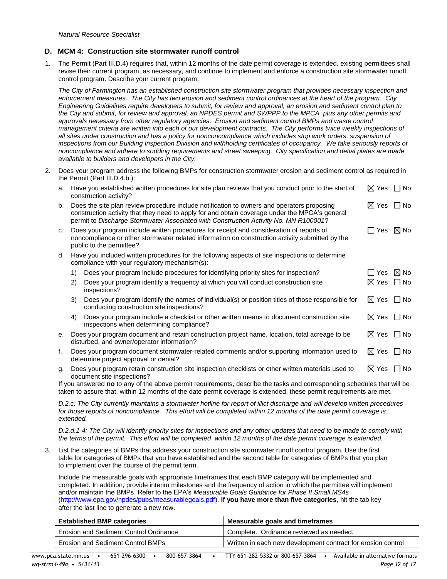#### **D. MCM 4: Construction site stormwater runoff control**

1. The Permit (Part III.D.4) requires that, within 12 months of the date permit coverage is extended, existing permittees shall revise their current program, as necessary, and continue to implement and enforce a construction site stormwater runoff control program. Describe your current program:

*The City of Farmington has an established construction site stormwater program that provides necessary inspection and enforcement measures. The City has two erosion and sediment control ordinances at the heart of the program. City Engineering Guidelines require developers to submit, for review and approval, an erosion and sediment control plan to the City and submit, for review and approval, an NPDES permit and SWPPP to the MPCA, plus any other permits and*  approvals necessary from other regulatory agencies. Erosion and sediment control BMPs and waste control *management criteria are written into each of our development contracts. The City performs twice weekly inspections of all sites under construction and has a policy for nonconcompliance which includes stop work orders, suspension of*  inspections from our Building Inspection Division and withholding certificates of occupancy. We take seriously reports of *noncompliance and adhere to sodding requirements and street sweeping. City specification and detial plates are made available to builders and developers in the City.*

2. Does your program address the following BMPs for construction stormwater erosion and sediment control as required in the Permit (Part III.D.4.b.):

| а. | Have you established written procedures for site plan reviews that you conduct prior to the start of<br>construction activity?                                                                                                                                                       |                                                                                                                                                |                           |                    |  |
|----|--------------------------------------------------------------------------------------------------------------------------------------------------------------------------------------------------------------------------------------------------------------------------------------|------------------------------------------------------------------------------------------------------------------------------------------------|---------------------------|--------------------|--|
| b. | Does the site plan review procedure include notification to owners and operators proposing<br>construction activity that they need to apply for and obtain coverage under the MPCA's general<br>permit to Discharge Stormwater Associated with Construction Activity No. MN R100001? |                                                                                                                                                |                           |                    |  |
| C. | Does your program include written procedures for receipt and consideration of reports of<br>noncompliance or other stormwater related information on construction activity submitted by the<br>public to the permittee?                                                              |                                                                                                                                                |                           |                    |  |
| d. | Have you included written procedures for the following aspects of site inspections to determine<br>compliance with your regulatory mechanism(s):                                                                                                                                     |                                                                                                                                                |                           |                    |  |
|    | 1)                                                                                                                                                                                                                                                                                   | Does your program include procedures for identifying priority sites for inspection?                                                            | Yes                       | $\boxtimes$ No     |  |
|    | 2)                                                                                                                                                                                                                                                                                   | Does your program identify a frequency at which you will conduct construction site<br>inspections?                                             | $\boxtimes$ Yes           | $\Box$ No          |  |
|    | 3)                                                                                                                                                                                                                                                                                   | Does your program identify the names of individual(s) or position titles of those responsible for<br>conducting construction site inspections? | $\boxtimes$ Yes           | No<br>$\mathbf{I}$ |  |
|    | 4)                                                                                                                                                                                                                                                                                   | Does your program include a checklist or other written means to document construction site<br>inspections when determining compliance?         | $\boxtimes$ Yes $\Box$ No |                    |  |
| е. | Does your program document and retain construction project name, location, total acreage to be<br>disturbed, and owner/operator information?                                                                                                                                         |                                                                                                                                                | $\boxtimes$ Yes           | $\Box$ No          |  |
| f. |                                                                                                                                                                                                                                                                                      | Does your program document stormwater-related comments and/or supporting information used to<br>determine project approval or denial?          | $\boxtimes$ Yes           | $\Box$ No          |  |
| g. |                                                                                                                                                                                                                                                                                      | Does your program retain construction site inspection checklists or other written materials used to<br>document site inspections?              | $\boxtimes$ Yes           | No                 |  |

If you answered **no** to any of the above permit requirements, describe the tasks and corresponding schedules that will be taken to assure that, within 12 months of the date permit coverage is extended, these permit requirements are met.

*D.2.c: The City currently maintains a stormwater hotline for report of illict discharge and will develop written procedures for those reports of noncompliance. This effort will be completed within 12 months of the date permit coverage is extended.* 

*D.2.d.1-4: The City will identify priority sites for inspections and any other updates that need to be made to comply with*  the terms of the permit. This effort will be completed within 12 months of the date permit coverage is extended.

3. List the categories of BMPs that address your construction site stormwater runoff control program. Use the first table for categories of BMPs that you have established and the second table for categories of BMPs that you plan to implement over the course of the permit term.

Include the measurable goals with appropriate timeframes that each BMP category will be implemented and completed. In addition, provide interim milestones and the frequency of action in which the permittee will implement and/or maintain the BMPs. Refer to the EPA's *Measurable Goals Guidance for Phase II Small MS4s* [\(http://www.epa.gov/npdes/pubs/measurablegoals.pdf\)](http://www.epa.gov/npdes/pubs/measurablegoals.pdf). **If you have more than five categories**, hit the tab key after the last line to generate a new row.

| <b>Established BMP categories</b>      | <b>Neasurable goals and timeframes</b>                       |
|----------------------------------------|--------------------------------------------------------------|
| Erosion and Sediment Control Ordinance | Complete. Ordinance reviewed as needed.                      |
| Erosion and Sediment Control BMPs      | Written in each new development contract for erosion control |
|                                        |                                                              |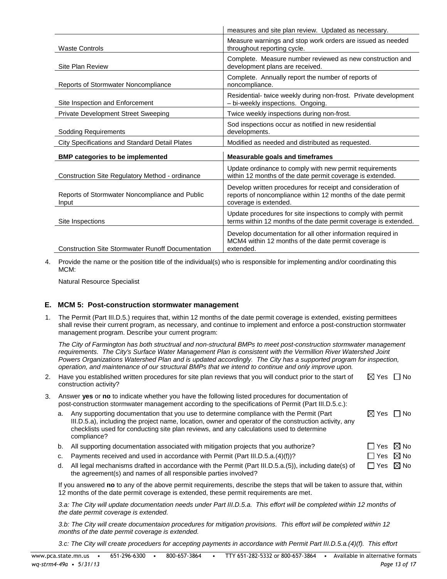|                                                          | measures and site plan review. Updated as necessary.                                                                                                 |
|----------------------------------------------------------|------------------------------------------------------------------------------------------------------------------------------------------------------|
| <b>Waste Controls</b>                                    | Measure warnings and stop work orders are issued as needed<br>throughout reporting cycle.                                                            |
| Site Plan Review                                         | Complete. Measure number reviewed as new construction and<br>development plans are received.                                                         |
| Reports of Stormwater Noncompliance                      | Complete. Annually report the number of reports of<br>noncompliance.                                                                                 |
| Site Inspection and Enforcement                          | Residential-twice weekly during non-frost. Private development<br>- bi-weekly inspections. Ongoing.                                                  |
| Private Development Street Sweeping                      | Twice weekly inspections during non-frost.                                                                                                           |
| <b>Sodding Requirements</b>                              | Sod inspections occur as notified in new residential<br>developments.                                                                                |
| City Specifications and Standard Detail Plates           | Modified as needed and distributed as requested.                                                                                                     |
| <b>BMP categories to be implemented</b>                  | <b>Measurable goals and timeframes</b>                                                                                                               |
| Construction Site Regulatory Method - ordinance          | Update ordinance to comply with new permit requirements<br>within 12 months of the date permit coverage is extended.                                 |
| Reports of Stormwater Noncompliance and Public<br>Input  | Develop written procedures for receipt and consideration of<br>reports of noncompliance within 12 months of the date permit<br>coverage is extended. |
| Site Inspections                                         | Update procedures for site inspections to comply with permit<br>terms within 12 months of the date permit coverage is extended.                      |
| <b>Construction Site Stormwater Runoff Documentation</b> | Develop documentation for all other information required in<br>MCM4 within 12 months of the date permit coverage is<br>extended.                     |

4. Provide the name or the position title of the individual(s) who is responsible for implementing and/or coordinating this MCM:

Natural Resource Specialist

### **E. MCM 5: Post-construction stormwater management**

1. The Permit (Part III.D.5.) requires that, within 12 months of the date permit coverage is extended, existing permittees shall revise their current program, as necessary, and continue to implement and enforce a post-construction stormwater management program. Describe your current program:

*The City of Farmington has both structrual and non-structural BMPs to meet post-construction stormwater management requirements. The City's Surface Water Management Plan is consistent with the Vermillion River Watershed Joint Powers Organizations Watershed Plan and is updated accordingly. The City has a supported program for inspection, operation, and maintenance of our structural BMPs that we intend to continue and only improve upon.* 

| 2.                                                                                                                                                                                                                |                                                                                                                                                                                                            | Have you established written procedures for site plan reviews that you will conduct prior to the start of<br>construction activity?                                                                                                                                                                          |                           | No.                |
|-------------------------------------------------------------------------------------------------------------------------------------------------------------------------------------------------------------------|------------------------------------------------------------------------------------------------------------------------------------------------------------------------------------------------------------|--------------------------------------------------------------------------------------------------------------------------------------------------------------------------------------------------------------------------------------------------------------------------------------------------------------|---------------------------|--------------------|
| 3.                                                                                                                                                                                                                | Answer yes or no to indicate whether you have the following listed procedures for documentation of<br>post-construction stormwater management according to the specifications of Permit (Part III.D.5.c.): |                                                                                                                                                                                                                                                                                                              |                           |                    |
|                                                                                                                                                                                                                   |                                                                                                                                                                                                            | Any supporting documentation that you use to determine compliance with the Permit (Part<br>III.D.5.a), including the project name, location, owner and operator of the construction activity, any<br>checklists used for conducting site plan reviews, and any calculations used to determine<br>compliance? | $\boxtimes$ Yes $\Box$ No |                    |
|                                                                                                                                                                                                                   | b.                                                                                                                                                                                                         | All supporting documentation associated with mitigation projects that you authorize?                                                                                                                                                                                                                         |                           | Yes $\boxtimes$ No |
|                                                                                                                                                                                                                   | c.                                                                                                                                                                                                         | Payments received and used in accordance with Permit (Part III.D.5.a.(4)(f))?                                                                                                                                                                                                                                |                           | Yes $\boxtimes$ No |
|                                                                                                                                                                                                                   | d.                                                                                                                                                                                                         | All legal mechanisms drafted in accordance with the Permit (Part III.D.5.a. (5)), including date(s) of<br>the agreement(s) and names of all responsible parties involved?                                                                                                                                    | Yes<br>$\mathsf{L}$       | $\boxtimes$ No     |
| If you answered no to any of the above permit requirements, describe the steps that will be taken to assure that, within<br>12 months of the date permit coverage is extended, these permit requirements are met. |                                                                                                                                                                                                            |                                                                                                                                                                                                                                                                                                              |                           |                    |
|                                                                                                                                                                                                                   |                                                                                                                                                                                                            | 3.a: The City will update documentation needs under Part III.D.5.a. This effort will be completed within 12 months of<br>the date permit coverage is extended.                                                                                                                                               |                           |                    |

*3.b: The City will create documentaion procedures for mitigation provisions. This effort will be completed within 12 months of the date permit coverage is extended.* 

*3.c: The City will create proceduers for accepting payments in accordance with Permit Part III.D.5.a.(4)(f). This effort*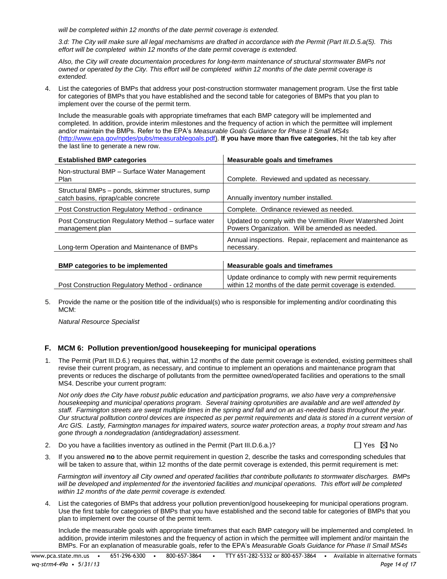*will be completed within 12 months of the date permit coverage is extended.* 

*3.d: The City will make sure all legal mechamisms are drafted in accordance with the Permit (Part III.D.5.a(5). This effort will be completed within 12 months of the date permit coverage is extended.* 

*Also, the City will create documentaion procedures for long-term maintenance of structural stormwater BMPs not owned or operated by the City. This effort will be completed within 12 months of the date permit coverage is extended.* 

4. List the categories of BMPs that address your post-construction stormwater management program. Use the first table for categories of BMPs that you have established and the second table for categories of BMPs that you plan to implement over the course of the permit term.

Include the measurable goals with appropriate timeframes that each BMP category will be implemented and completed. In addition, provide interim milestones and the frequency of action in which the permittee will implement and/or maintain the BMPs. Refer to the EPA's *Measurable Goals Guidance for Phase II Small MS4s* [\(http://www.epa.gov/npdes/pubs/measurablegoals.pdf\)](http://www.epa.gov/npdes/pubs/measurablegoals.pdf). **If you have more than five categories**, hit the tab key after the last line to generate a new row.

| <b>Established BMP categories</b>                                                        | Measurable goals and timeframes                                                                                      |
|------------------------------------------------------------------------------------------|----------------------------------------------------------------------------------------------------------------------|
| Non-structural BMP - Surface Water Management<br>Plan                                    | Complete. Reviewed and updated as necessary.                                                                         |
| Structural BMPs – ponds, skimmer structures, sump<br>catch basins, riprap/cable concrete | Annually inventory number installed.                                                                                 |
| Post Construction Regulatory Method - ordinance                                          | Complete. Ordinance reviewed as needed.                                                                              |
| Post Construction Regulatory Method - surface water<br>management plan                   | Updated to comply with the Vermillion River Watershed Joint<br>Powers Organization. Will be amended as needed.       |
| Long-term Operation and Maintenance of BMPs                                              | Annual inspections. Repair, replacement and maintenance as<br>necessary.                                             |
| <b>BMP</b> categories to be implemented                                                  | Measurable goals and timeframes                                                                                      |
| Post Construction Regulatory Method - ordinance                                          | Update ordinance to comply with new permit requirements<br>within 12 months of the date permit coverage is extended. |

5. Provide the name or the position title of the individual(s) who is responsible for implementing and/or coordinating this MCM:

*Natural Resource Specialist*

### **F. MCM 6: Pollution prevention/good housekeeping for municipal operations**

1. The Permit (Part III.D.6.) requires that, within 12 months of the date permit coverage is extended, existing permittees shall revise their current program, as necessary, and continue to implement an operations and maintenance program that prevents or reduces the discharge of pollutants from the permittee owned/operated facilities and operations to the small MS4. Describe your current program:

*Not only does the City have robust public education and participation programs, we also have very a comprehensive housekeeping and municipal operations program. Several training oprotunities are available and are well attended by staff. Farmington streets are swept multiple times in the spring and fall and on an as-needed basis throughout the year. Our structural polltution control devices are inspected as per permit requirements and data is stored in a current version of Arc GIS. Lastly, Farmington manages for impaired waters, source water protection areas, a trophy trout stream and has gone through a nondegradation (antidegradation) assessment.* 

2. Do you have a facilities inventory as outlined in the Permit (Part III.D.6.a.)?

3. If you answered **no** to the above permit requirement in question 2, describe the tasks and corresponding schedules that will be taken to assure that, within 12 months of the date permit coverage is extended, this permit requirement is met:

*Farmington will inventory all City owned and operated facilities that contribute pollutants to stormwater discharges. BMPs*  will be developed and implemented for the inventoried facilities and municipal operations. This effort will be completed *within 12 months of the date permit coverage is extended.* 

4. List the categories of BMPs that address your pollution prevention/good housekeeping for municipal operations program. Use the first table for categories of BMPs that you have established and the second table for categories of BMPs that you plan to implement over the course of the permit term.

Include the measurable goals with appropriate timeframes that each BMP category will be implemented and completed. In addition, provide interim milestones and the frequency of action in which the permittee will implement and/or maintain the BMPs. For an explanation of measurable goals, refer to the EPA's *Measurable Goals Guidance for Phase II Small MS4s*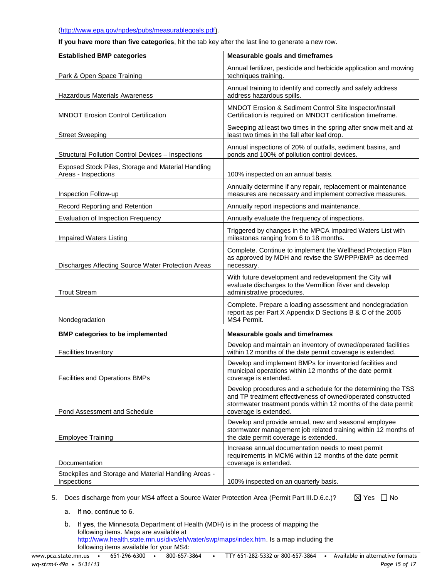#### [\(http://www.epa.gov/npdes/pubs/measurablegoals.pdf\)](http://www.epa.gov/npdes/pubs/measurablegoals.pdf).

**If you have more than five categories**, hit the tab key after the last line to generate a new row.

| <b>Established BMP categories</b>                                         | <b>Measurable goals and timeframes</b>                                                                                                                                                                                   |
|---------------------------------------------------------------------------|--------------------------------------------------------------------------------------------------------------------------------------------------------------------------------------------------------------------------|
| Park & Open Space Training                                                | Annual fertilizer, pesticide and herbicide application and mowing<br>techniques training.                                                                                                                                |
| <b>Hazardous Materials Awareness</b>                                      | Annual training to identify and correctly and safely address<br>address hazardous spills.                                                                                                                                |
| <b>MNDOT Erosion Control Certification</b>                                | MNDOT Erosion & Sediment Control Site Inspector/Install<br>Certification is required on MNDOT certification timeframe.                                                                                                   |
| <b>Street Sweeping</b>                                                    | Sweeping at least two times in the spring after snow melt and at<br>least two times in the fall after leaf drop.                                                                                                         |
| <b>Structural Pollution Control Devices - Inspections</b>                 | Annual inspections of 20% of outfalls, sediment basins, and<br>ponds and 100% of pollution control devices.                                                                                                              |
| Exposed Stock Piles, Storage and Material Handling<br>Areas - Inspections | 100% inspected on an annual basis.                                                                                                                                                                                       |
| Inspection Follow-up                                                      | Annually determine if any repair, replacement or maintenance<br>measures are necessary and implement corrective measures.                                                                                                |
| Record Reporting and Retention                                            | Annually report inspections and maintenance.                                                                                                                                                                             |
| Evaluation of Inspection Frequency                                        | Annually evaluate the frequency of inspections.                                                                                                                                                                          |
| Impaired Waters Listing                                                   | Triggered by changes in the MPCA Impaired Waters List with<br>milestones ranging from 6 to 18 months.                                                                                                                    |
| Discharges Affecting Source Water Protection Areas                        | Complete. Continue to implement the Wellhead Protection Plan<br>as approved by MDH and revise the SWPPP/BMP as deemed<br>necessary.                                                                                      |
| <b>Trout Stream</b>                                                       | With future development and redevelopment the City will<br>evaluate discharges to the Vermillion River and develop<br>administrative procedures.                                                                         |
| Nondegradation                                                            | Complete. Prepare a loading assessment and nondegradation<br>report as per Part X Appendix D Sections B & C of the 2006<br>MS4 Permit.                                                                                   |
| <b>BMP categories to be implemented</b>                                   | <b>Measurable goals and timeframes</b>                                                                                                                                                                                   |
| <b>Facilities Inventory</b>                                               | Develop and maintain an inventory of owned/operated facilities<br>within 12 months of the date permit coverage is extended.                                                                                              |
| <b>Facilities and Operations BMPs</b>                                     | Develop and implement BMPs for inventoried facilities and<br>municipal operations within 12 months of the date permit<br>coverage is extended.                                                                           |
| Pond Assessment and Schedule                                              | Develop procedures and a schedule for the determining the TSS<br>and TP treatment effectiveness of owned/operated constructed<br>stormwater treatment ponds within 12 months of the date permit<br>coverage is extended. |
| <b>Employee Training</b>                                                  | Develop and provide annual, new and seasonal employee<br>stormwater management job related training within 12 months of<br>the date permit coverage is extended.                                                         |
| Documentation                                                             | Increase annual documentation needs to meet permit<br>requirements in MCM6 within 12 months of the date permit<br>coverage is extended.                                                                                  |
| Stockpiles and Storage and Material Handling Areas -<br>Inspections       | 100% inspected on an quarterly basis.                                                                                                                                                                                    |

5. Does discharge from your MS4 affect a Source Water Protection Area (Permit Part III.D.6.c.)?

- a. If **no**, continue to 6.
- b. If **yes**, the Minnesota Department of Health (MDH) is in the process of mapping the following items. Maps are available at [http://www.health.state.mn.us/divs/eh/water/swp/maps/index.htm.](http://www.health.state.mn.us/divs/eh/water/swp/maps/index.htm) Is a map including the following items available for your MS4:

 $\boxtimes$  Yes  $\Box$  No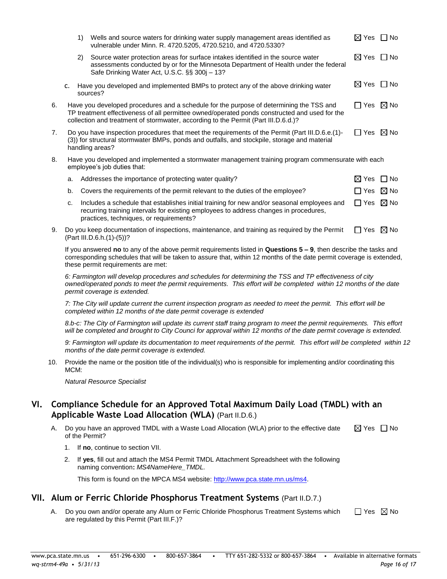|    |    | 1) | Wells and source waters for drinking water supply management areas identified as<br>vulnerable under Minn. R. 4720.5205, 4720.5210, and 4720.5330?                                                                                                                             | $\boxtimes$ Yes $\Box$ No |           |
|----|----|----|--------------------------------------------------------------------------------------------------------------------------------------------------------------------------------------------------------------------------------------------------------------------------------|---------------------------|-----------|
|    |    | 2) | Source water protection areas for surface intakes identified in the source water<br>assessments conducted by or for the Minnesota Department of Health under the federal<br>Safe Drinking Water Act, U.S.C. §§ 300j - 13?                                                      | ⊠ Yes                     | $\Box$ No |
|    | c. |    | Have you developed and implemented BMPs to protect any of the above drinking water<br>sources?                                                                                                                                                                                 | $\boxtimes$ Yes $\Box$ No |           |
| 6. |    |    | Have you developed procedures and a schedule for the purpose of determining the TSS and<br>TP treatment effectiveness of all permittee owned/operated ponds constructed and used for the<br>collection and treatment of stormwater, according to the Permit (Part III.D.6.d.)? | $\Box$ Yes $\boxtimes$ No |           |
| 7. |    |    | Do you have inspection procedures that meet the requirements of the Permit (Part III.D.6.e.(1)-<br>(3)) for structural stormwater BMPs, ponds and outfalls, and stockpile, storage and material<br>handling areas?                                                             | □ Yes ⊠ No                |           |
| 8. |    |    | Have you developed and implemented a stormwater management training program commensurate with each<br>employee's job duties that:                                                                                                                                              |                           |           |
|    | a. |    | Addresses the importance of protecting water quality?                                                                                                                                                                                                                          | $\boxtimes$ Yes           | l INo     |
|    | b. |    | Covers the requirements of the permit relevant to the duties of the employee?                                                                                                                                                                                                  | $\Box$ Yes $\boxtimes$ No |           |
|    | C. |    | Includes a schedule that establishes initial training for new and/or seasonal employees and<br>recurring training intervals for existing employees to address changes in procedures,<br>practices, techniques, or requirements?                                                | $\Box$ Yes $\boxtimes$ No |           |
|    |    |    |                                                                                                                                                                                                                                                                                |                           |           |

9. Do you keep documentation of inspections, maintenance, and training as required by the Permit  $\hfill\Box$  Yes  $\hfill\blacksquare$  No (Part III.D.6.h.(1)-(5))?

If you answered **no** to any of the above permit requirements listed in **Questions 5 – 9**, then describe the tasks and corresponding schedules that will be taken to assure that, within 12 months of the date permit coverage is extended, these permit requirements are met:

*6: Farmington will develop procedures and schedules for determining the TSS and TP effectiveness of city owned/operated ponds to meet the permit requirements. This effort will be completed within 12 months of the date permit coverage is extended.* 

*7: The City will update current the current inspection program as needed to meet the permit. This effort will be completed within 12 months of the date permit coverage is extended*

*8.b-c: The City of Farmington will update its current staff traing program to meet the permit requirements. This effort will be completed and brought to City Counci for approval within 12 months of the date permit coverage is extended.* 

*9: Farmington will update its documentation to meet requirements of the permit. This effort will be completed within 12 months of the date permit coverage is extended.* 

10. Provide the name or the position title of the individual(s) who is responsible for implementing and/or coordinating this MCM:

*Natural Resource Specialist*

### **VI. Compliance Schedule for an Approved Total Maximum Daily Load (TMDL) with an Applicable Waste Load Allocation (WLA)** (Part II.D.6.)

- A. Do you have an approved TMDL with a Waste Load Allocation (WLA) prior to the effective date of the Permit?  $\boxtimes$  Yes  $\Box$  No
	- 1. If **no**, continue to section VII.
	- 2. If **yes**, fill out and attach the MS4 Permit TMDL Attachment Spreadsheet with the following naming convention**:** *MS4NameHere\_TMDL.*

This form is found on the MPCA MS4 website: [http://www.pca.state.mn.us/ms4.](http://www.pca.state.mn.us/ms4)

### **VII. Alum or Ferric Chloride Phosphorus Treatment Systems** (Part II.D.7.)

A. Do you own and/or operate any Alum or Ferric Chloride Phosphorus Treatment Systems which are regulated by this Permit (Part III.F.)?  $\Box$  Yes  $\boxtimes$  No